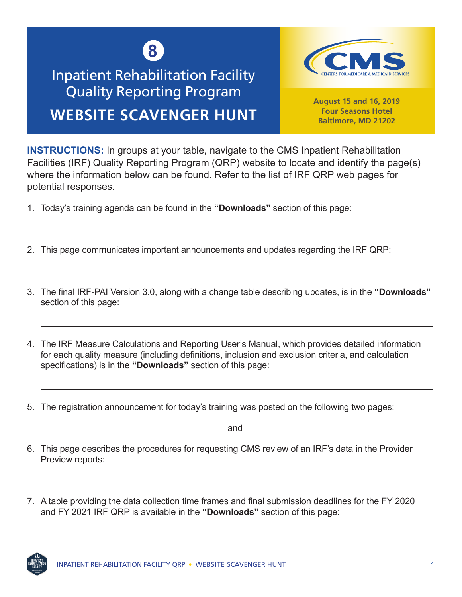

## Inpatient Rehabilitation Facility Quality Reporting Program **WEBSITE SCAVENGER HUNT**



**August 15 and 16, 2019 Four Seasons Hotel Baltimore, MD 21202**

**INSTRUCTIONS:** In groups at your table, navigate to the CMS Inpatient Rehabilitation Facilities (IRF) Quality Reporting Program (QRP) website to locate and identify the page(s) where the information below can be found. Refer to the list of IRF QRP web pages for potential responses.

- 1. Today's training agenda can be found in the **"Downloads"** section of this page:
- 2. This page communicates important announcements and updates regarding the IRF QRP:
- 3. The final IRF-PAI Version 3.0, along with a change table describing updates, is in the **"Downloads"** section of this page:
- 4. The IRF Measure Calculations and Reporting User's Manual, which provides detailed information for each quality measure (including definitions, inclusion and exclusion criteria, and calculation specifications) is in the **"Downloads"** section of this page:
- 5. The registration announcement for today's training was posted on the following two pages:

and <u>second</u> and second second and second second second second second second second second second second second second second second second second second second second second second second second second second second secon

- 6. This page describes the procedures for requesting CMS review of an IRF's data in the Provider Preview reports:
- 7. A table providing the data collection time frames and final submission deadlines for the FY 2020 and FY 2021 IRF QRP is available in the **"Downloads"** section of this page: